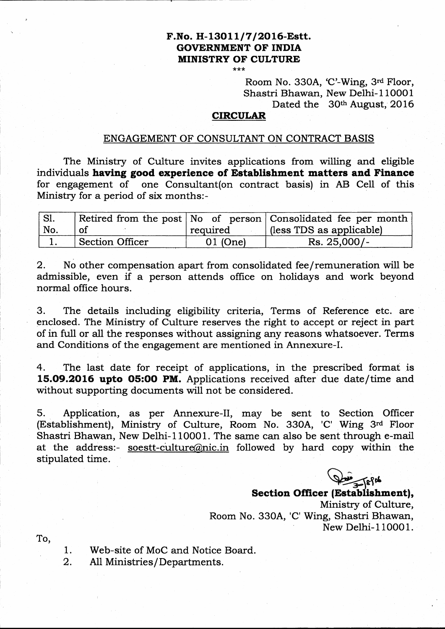# F.No. H-13011/7/2016-Estt. GOVERNMENT OF INDIA **MINISTRY OF CULTURE**

No. 330A, 'C'-Wing, 3rd Floor, Shastri Bhawan, New Delhi-110001 Dated the 30th August, 2016

#### CIRCULAR

#### ENGAGEMENT OF CONSULTANT ON CONTRACT BASIS

The Ministry of Culture invites applications from willing and eligible individuals having good experience of Establishment matters and Finance for engagement of one Consultant(on contract basis) in AB CelI of this Ministry for a period of six months:-

| $\vert$ Sl. |                        |          | Retired from the post No of person Consolidated fee per month |
|-------------|------------------------|----------|---------------------------------------------------------------|
| ' No.       | <sub>of</sub>          | required | (less TDS as applicable)                                      |
|             | <b>Section Officer</b> | 01 (One) | $Rs. 25,000/-$                                                |

2. No other compensation apart from consolidated fee/remuneration will be admissible, even if a person attends office on holidays and work beyond normal office hours.

3. The details including eligibility criteria, Terms of Reference etc. are enclosed. The Ministry of Culture reseryes the right to accept or reject in part of in full or all the responses without assigning any reasons whatsoever. Terms and Conditions of the engagement are mentioned in Annexure-I.

4. The last date for receipt of applications, in the prescribed format is 15.09.2016 upto O5:OO PM. Applications received after due date/time and without supporting documents will not be considered.

5. Application, as per Annexure-II, may be sent to Section Officer (Establishment), Ministry of Culture, Room No. 330A, 'C' Wing 3rd Floor Shastri Bhawan, New Delhi-110001. The same can also be sent through e-mail at the address:- soestt-cultur@nic.in followed by hard copy within the stipulated time.

 $\frac{100}{2}$  efth

Section Officer (Establishment), Ministry of Culture, Room No. 330A, 'C' Wing, Shastri Bhawan, To, New Delhi- 1 10001.

- Web-site of MoC and Notice Board. 1.
- All Ministries/Departments. 2.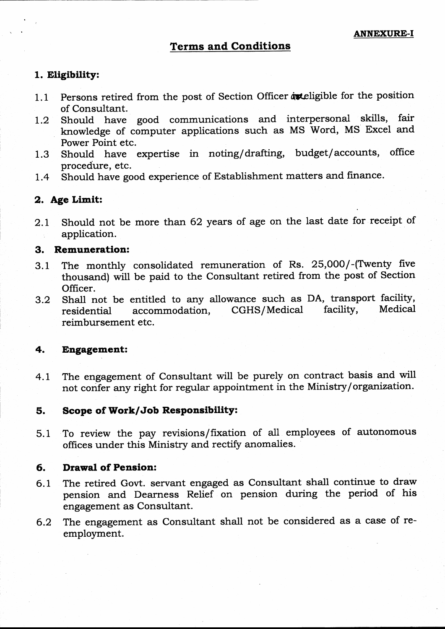### 1. Eltgibility:

- 1.1 Persons retired from the post of Section Officer at eligible for the position of Consultant.
- 1.2 Should have good communications and interpersonal skills, fair knowledge of computer applications such as MS Word, MS Excel and Power Point etc.
- 1.3 Should have expertise in noting/drafting, budget/accounts, office procedure, etc.
- L.4 Should have good experience of Establishment matters and finance.

### 2. Age Limit:

2.1 Should not be more than 62 years of age on the last date for receipt of application.

### 3. Remuneration:

- 3.1 The monthly consolidated remuneration of Rs. 25,000/-(Twenty five thousand) will be paid to the Consultant retired from the post of Section Officer.
- 3.2 Shall not be entitled to any allowance such as DA, transport facility, residential accommodation, CGHS/Medical facility, Medical reimbursement etc.

#### 4. Engagement:

4.L The engagement of Consultant will be purely on contract basis and will not confer any right for regular appointment in the Ministry/organization.

#### 5. Scope of Work/Job Responsibility:

5.1 To review the pay revisions/fixation of all employees of autonomous offices under this Ministry and rectify anomalies.

#### 6. Drawal of Pension:

- $6.1$  The retired Govt. servant engaged as Consultant shall continue to draw pension and Dearness Relief on pension during the period of his engagement as Consultant.
- 6.2 The engagement as Consultant shall not be considered as a case of reemployment.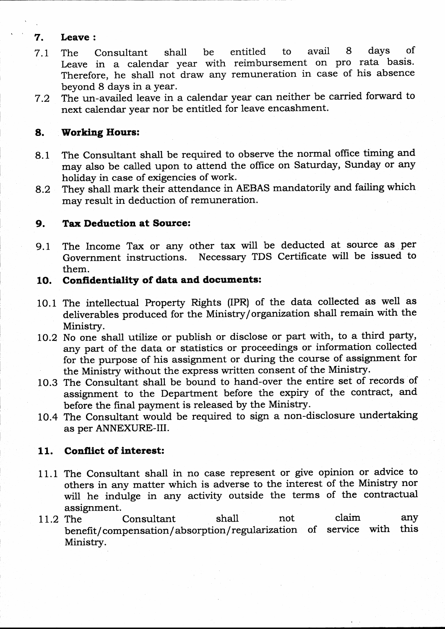## 7. Leave :

- 7.L The Consultant shall be entitled to avail 8 days of Leave in a calendar year with reimbursement on pro rata basis. Therefore, he shall not draw any remuneration in case of his absence beyond 8 days in a year
- 7.2 The un-availed leave in a calendar year can neither be carried forward to next calendar year nor be entitled for leave encashment.

## 8. Working Hours:

- 8.1 The Consultant shall be required to observe the normal office timing and may also be called upon to attend the office on Saturday, Sunday or any holiday in case of exigencies of work.
- 8.2 They shall mark their attendance in AEBAS mandatorily and failing which may result in deduction of remuneration.

## 9. Tax Deduction at Source:

9.1 The Income Tax or any other tax will be deducted at source as per Government instructions. Necessary TDS Certificate will be issued to them.

## 10. Confidentiality of data and documents:

- 10.1 The intellectual Property Rights (IPR) of the data collected as well as deliverables produced for the Ministry /organization shall remain with the Ministry.
- 10.2 No one shall utilize or publish or disclose or part with, to a third party, any part of the data or statistics or proceedings or information collected for the purpose of his assignment or during the course of assignment for the Ministry without the express written consent of the Ministry.
- 10.3 The Consultant shall be bound to hand-over the entire set of records of assignment to the Department before the expiry of the contract, and before the final payment is released by the Ministry.
- 10.4 The Consultant would be required to sign a non-disclosure undertaking as per ANNEXURE-III.

## 11. Conflict of interest:

- 11.1 The Consultant shall in no case represent or give opinion or advice to others in any matter which is adverse to the interest of the Ministry nor will he indulge in any activity outside the terms of the contractual assignment.
- assignment.<br>11.2 The Consultant shall not claim any 11.2 The Consultant shall not claim any<br>benefit/compensation/absorption/regularization of service with this Ministry.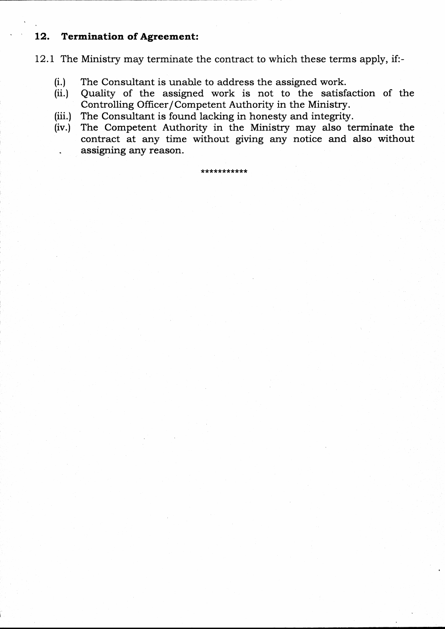#### 12. Termination of Agreement:

12.1 The Ministry may terminate the contract to which these terms apply, if:-

- (i.) The Consultant is unable to address the assigned work.
- (ii.) Quality of the assigned work is not to the satisfaction of the Controlling Officer/Competent Authority in the Ministry.
- (iii.) The Consultant is found lacking in honesty and integrity.
- (iv.) The Competent Authority in the Ministry may also terminate the contract at any time without giving any notice and also without assigning any reason.

\*\*\*\*\*\*\*\*\*\*\*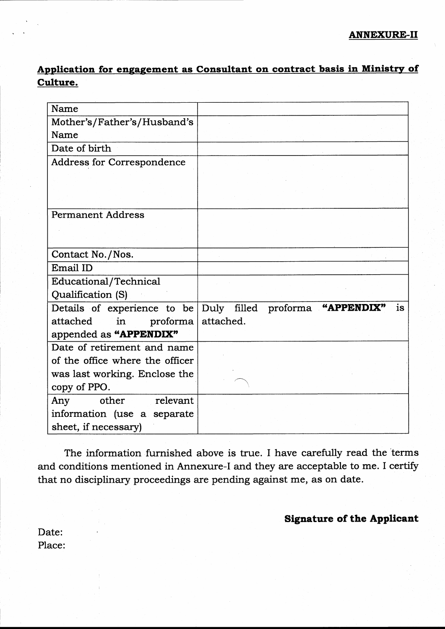# Application for engagement as Consultant on contract basis in Ministry of Culture.

| Name                              |                                                                   |
|-----------------------------------|-------------------------------------------------------------------|
| Mother's/Father's/Husband's       |                                                                   |
| Name                              |                                                                   |
| Date of birth                     |                                                                   |
| <b>Address for Correspondence</b> |                                                                   |
|                                   |                                                                   |
|                                   |                                                                   |
| <b>Permanent Address</b>          |                                                                   |
|                                   |                                                                   |
| Contact No./Nos.                  |                                                                   |
| Email ID                          |                                                                   |
| <b>Educational/Technical</b>      |                                                                   |
| Qualification (S)                 |                                                                   |
|                                   | Details of experience to be Duly filled proforma "APPENDIX"<br>is |
| attached<br>in<br>proforma        | attached.                                                         |
| appended as "APPENDIX"            |                                                                   |
| Date of retirement and name       |                                                                   |
| of the office where the officer   |                                                                   |
| was last working. Enclose the     |                                                                   |
| copy of PPO.                      |                                                                   |
| other<br>relevant<br>Any          |                                                                   |
| information (use a separate       |                                                                   |
| sheet, if necessary)              |                                                                   |

The information furnished above is true. I have carefully read the 'terms and conditions mentioned in Annexure-I and they are acceptable to me. I certify that no disciplinary proceedings are pending against me, as on date.

## Signature of the Applicent

Date: Place: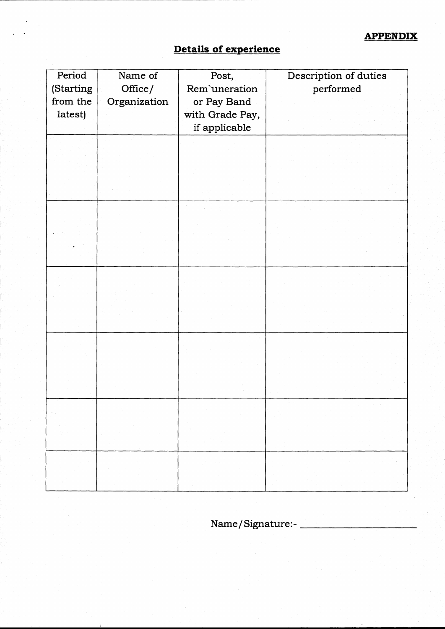## APPENDIX

# Details of experience

| Period    | Name of      | Post,           | Description of duties |
|-----------|--------------|-----------------|-----------------------|
| (Starting | Office/      | Rem'uneration   | performed             |
| from the  | Organization | or Pay Band     |                       |
| latest)   |              | with Grade Pay, |                       |
|           |              | if applicable   |                       |
|           |              |                 |                       |
|           |              |                 |                       |
|           |              |                 |                       |
|           |              |                 |                       |
|           |              |                 |                       |
|           |              |                 |                       |
|           |              |                 |                       |
|           |              |                 |                       |
|           |              |                 |                       |
|           |              |                 |                       |
|           |              |                 |                       |
|           |              |                 |                       |
|           |              |                 |                       |
|           |              |                 |                       |
|           |              |                 |                       |
|           |              |                 |                       |
|           |              |                 |                       |
|           |              |                 |                       |
|           |              |                 |                       |
|           |              |                 |                       |
|           |              |                 |                       |
|           |              |                 |                       |
|           |              |                 |                       |
| $\gamma$  |              |                 | ÷.                    |
|           |              |                 | $\sim$                |
|           |              |                 |                       |
|           |              |                 |                       |

Name/Signature:-